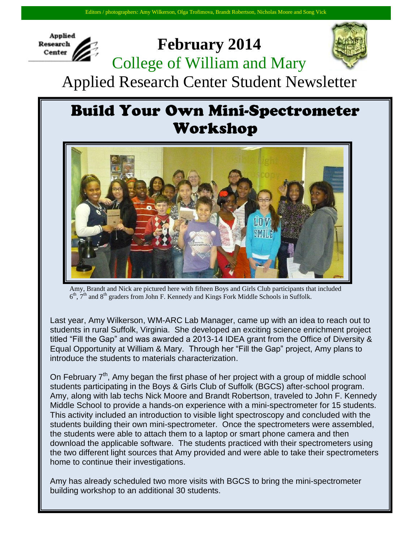

## **February 2014** College of William and Mary



Applied Research Center Student Newsletter

## **Build Your Own Mini-Spectrometer** Workshop



Amy, Brandt and Nick are pictured here with fifteen Boys and Girls Club participants that included  $6<sup>th</sup>$ ,  $7<sup>th</sup>$  and  $8<sup>th</sup>$  graders from John F. Kennedy and Kings Fork Middle Schools in Suffolk.

Last year, Amy Wilkerson, WM-ARC Lab Manager, came up with an idea to reach out to students in rural Suffolk, Virginia. She developed an exciting science enrichment project titled "Fill the Gap" and was awarded a 2013-14 IDEA grant from the Office of Diversity & Equal Opportunity at William & Mary. Through her "Fill the Gap" project, Amy plans to introduce the students to materials characterization.

On February  $7<sup>th</sup>$ , Amy began the first phase of her project with a group of middle school students participating in the Boys & Girls Club of Suffolk (BGCS) after-school program. Amy, along with lab techs Nick Moore and Brandt Robertson, traveled to John F. Kennedy Middle School to provide a hands-on experience with a mini-spectrometer for 15 students. This activity included an introduction to visible light spectroscopy and concluded with the students building their own mini-spectrometer. Once the spectrometers were assembled, the students were able to attach them to a laptop or smart phone camera and then download the applicable software. The students practiced with their spectrometers using the two different light sources that Amy provided and were able to take their spectrometers home to continue their investigations.

Amy has already scheduled two more visits with BGCS to bring the mini-spectrometer building workshop to an additional 30 students.